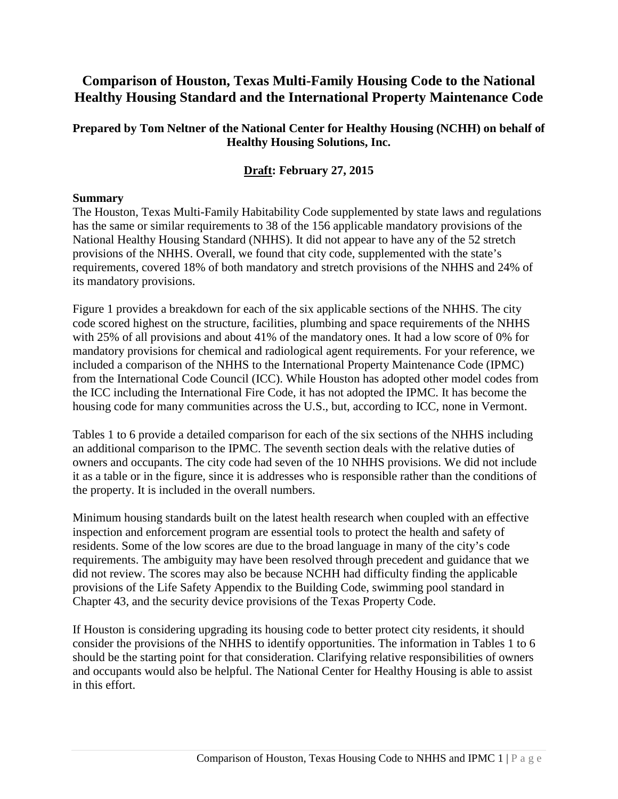# **Comparison of Houston, Texas Multi-Family Housing Code to the National Healthy Housing Standard and the International Property Maintenance Code**

#### **Prepared by Tom Neltner of the National Center for Healthy Housing (NCHH) on behalf of Healthy Housing Solutions, Inc.**

### **Draft: February 27, 2015**

#### **Summary**

The Houston, Texas Multi-Family Habitability Code supplemented by state laws and regulations has the same or similar requirements to 38 of the 156 applicable mandatory provisions of the National Healthy Housing Standard (NHHS). It did not appear to have any of the 52 stretch provisions of the NHHS. Overall, we found that city code, supplemented with the state's requirements, covered 18% of both mandatory and stretch provisions of the NHHS and 24% of its mandatory provisions.

Figure 1 provides a breakdown for each of the six applicable sections of the NHHS. The city code scored highest on the structure, facilities, plumbing and space requirements of the NHHS with 25% of all provisions and about 41% of the mandatory ones. It had a low score of 0% for mandatory provisions for chemical and radiological agent requirements. For your reference, we included a comparison of the NHHS to the International Property Maintenance Code (IPMC) from the International Code Council (ICC). While Houston has adopted other model codes from the ICC including the International Fire Code, it has not adopted the IPMC. It has become the housing code for many communities across the U.S., but, according to ICC, none in Vermont.

Tables 1 to 6 provide a detailed comparison for each of the six sections of the NHHS including an additional comparison to the IPMC. The seventh section deals with the relative duties of owners and occupants. The city code had seven of the 10 NHHS provisions. We did not include it as a table or in the figure, since it is addresses who is responsible rather than the conditions of the property. It is included in the overall numbers.

Minimum housing standards built on the latest health research when coupled with an effective inspection and enforcement program are essential tools to protect the health and safety of residents. Some of the low scores are due to the broad language in many of the city's code requirements. The ambiguity may have been resolved through precedent and guidance that we did not review. The scores may also be because NCHH had difficulty finding the applicable provisions of the Life Safety Appendix to the Building Code, swimming pool standard in Chapter 43, and the security device provisions of the Texas Property Code.

If Houston is considering upgrading its housing code to better protect city residents, it should consider the provisions of the NHHS to identify opportunities. The information in Tables 1 to 6 should be the starting point for that consideration. Clarifying relative responsibilities of owners and occupants would also be helpful. The National Center for Healthy Housing is able to assist in this effort.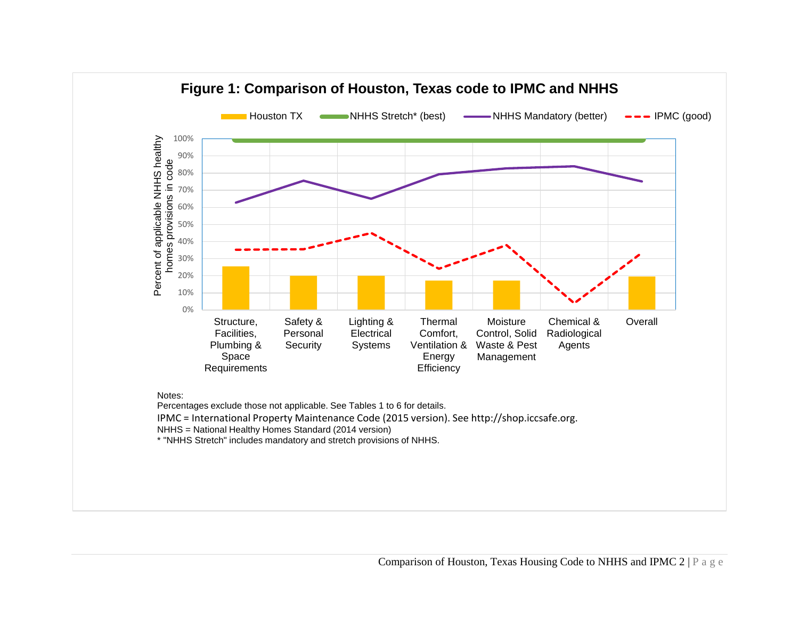

Percentages exclude those not applicable. See Tables 1 to 6 for details.

IPMC = International Property Maintenance Code (2015 version). See http://shop.iccsafe.org.

NHHS = National Healthy Homes Standard (2014 version)

\* "NHHS Stretch" includes mandatory and stretch provisions of NHHS.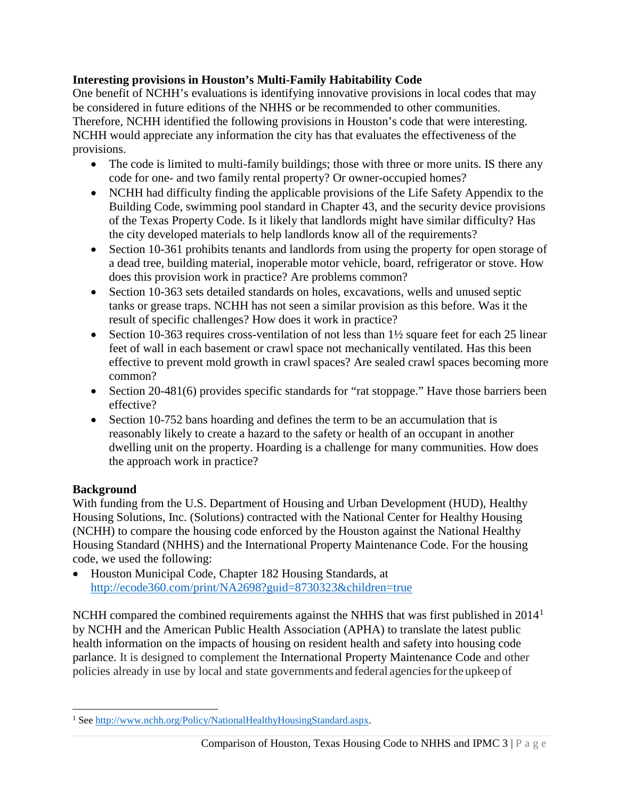### **Interesting provisions in Houston's Multi-Family Habitability Code**

One benefit of NCHH's evaluations is identifying innovative provisions in local codes that may be considered in future editions of the NHHS or be recommended to other communities. Therefore, NCHH identified the following provisions in Houston's code that were interesting. NCHH would appreciate any information the city has that evaluates the effectiveness of the provisions.

- The code is limited to multi-family buildings; those with three or more units. IS there any code for one- and two family rental property? Or owner-occupied homes?
- NCHH had difficulty finding the applicable provisions of the Life Safety Appendix to the Building Code, swimming pool standard in Chapter 43, and the security device provisions of the Texas Property Code. Is it likely that landlords might have similar difficulty? Has the city developed materials to help landlords know all of the requirements?
- Section 10-361 prohibits tenants and landlords from using the property for open storage of a dead tree, building material, inoperable motor vehicle, board, refrigerator or stove. How does this provision work in practice? Are problems common?
- Section 10-363 sets detailed standards on holes, excavations, wells and unused septic tanks or grease traps. NCHH has not seen a similar provision as this before. Was it the result of specific challenges? How does it work in practice?
- Section 10-363 requires cross-ventilation of not less than  $1\frac{1}{2}$  square feet for each 25 linear feet of wall in each basement or crawl space not mechanically ventilated. Has this been effective to prevent mold growth in crawl spaces? Are sealed crawl spaces becoming more common?
- Section 20-481(6) provides specific standards for "rat stoppage." Have those barriers been effective?
- Section 10-752 bans hoarding and defines the term to be an accumulation that is reasonably likely to create a hazard to the safety or health of an occupant in another dwelling unit on the property. Hoarding is a challenge for many communities. How does the approach work in practice?

## **Background**

With funding from the U.S. Department of Housing and Urban Development (HUD), Healthy Housing Solutions, Inc. (Solutions) contracted with the National Center for Healthy Housing (NCHH) to compare the housing code enforced by the Houston against the National Healthy Housing Standard (NHHS) and the International Property Maintenance Code. For the housing code, we used the following:

• Houston Municipal Code, Chapter 182 Housing Standards, at <http://ecode360.com/print/NA2698?guid=8730323&children=true>

NCHH compared the combined requirements against the NHHS that was first published in 20[1](#page-2-0)4<sup>1</sup> by NCHH and the American Public Health Association (APHA) to translate the latest public health information on the impacts of housing on resident health and safety into housing code parlance. It is designed to complement the International Property Maintenance Code and other policies already in use by local and state governments and federal agenciesforthe upkeep of

<span id="page-2-0"></span>l <sup>1</sup> Se[e http://www.nchh.org/Policy/NationalHealthyHousingStandard.aspx.](http://www.nchh.org/Policy/NationalHealthyHousingStandard.aspx)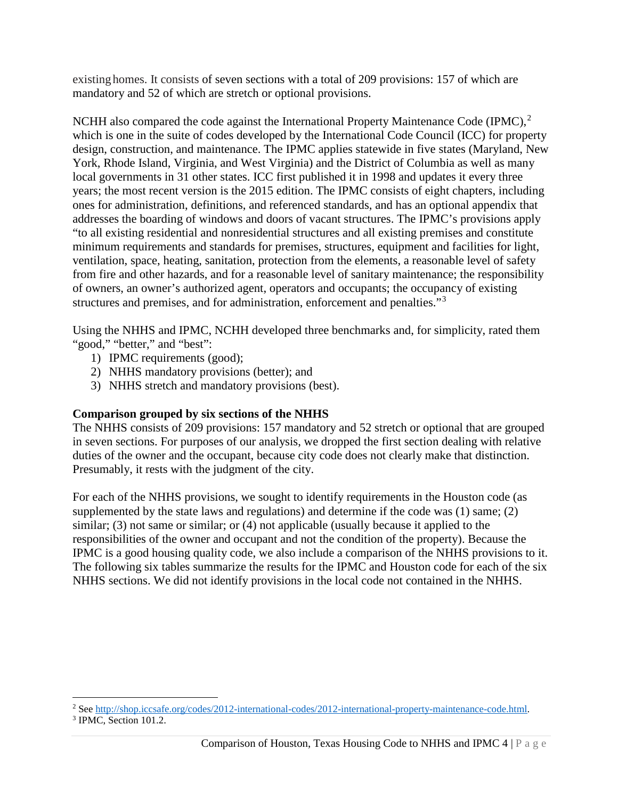existing homes. It consists of seven sections with a total of 209 provisions: 157 of which are mandatory and 52 of which are stretch or optional provisions.

NCHH also compared the code against the International Property Maintenance Code (IPMC), $^2$  $^2$ which is one in the suite of codes developed by the International Code Council (ICC) for property design, construction, and maintenance. The IPMC applies statewide in five states (Maryland, New York, Rhode Island, Virginia, and West Virginia) and the District of Columbia as well as many local governments in 31 other states. ICC first published it in 1998 and updates it every three years; the most recent version is the 2015 edition. The IPMC consists of eight chapters, including ones for administration, definitions, and referenced standards, and has an optional appendix that addresses the boarding of windows and doors of vacant structures. The IPMC's provisions apply "to all existing residential and nonresidential structures and all existing premises and constitute minimum requirements and standards for premises, structures, equipment and facilities for light, ventilation, space, heating, sanitation, protection from the elements, a reasonable level of safety from fire and other hazards, and for a reasonable level of sanitary maintenance; the responsibility of owners, an owner's authorized agent, operators and occupants; the occupancy of existing structures and premises, and for administration, enforcement and penalties."<sup>[3](#page-3-1)</sup>

Using the NHHS and IPMC, NCHH developed three benchmarks and, for simplicity, rated them "good," "better," and "best":

- 1) IPMC requirements (good);
- 2) NHHS mandatory provisions (better); and
- 3) NHHS stretch and mandatory provisions (best).

## **Comparison grouped by six sections of the NHHS**

The NHHS consists of 209 provisions: 157 mandatory and 52 stretch or optional that are grouped in seven sections. For purposes of our analysis, we dropped the first section dealing with relative duties of the owner and the occupant, because city code does not clearly make that distinction. Presumably, it rests with the judgment of the city.

For each of the NHHS provisions, we sought to identify requirements in the Houston code (as supplemented by the state laws and regulations) and determine if the code was (1) same; (2) similar; (3) not same or similar; or (4) not applicable (usually because it applied to the responsibilities of the owner and occupant and not the condition of the property). Because the IPMC is a good housing quality code, we also include a comparison of the NHHS provisions to it. The following six tables summarize the results for the IPMC and Houston code for each of the six NHHS sections. We did not identify provisions in the local code not contained in the NHHS.

l <sup>2</sup> See http://shop.iccsafe.org/codes/2012-international-codes/2012-international-property-maintenance-code.html.<br><sup>3</sup> IPMC, Section 101.2.

<span id="page-3-1"></span><span id="page-3-0"></span>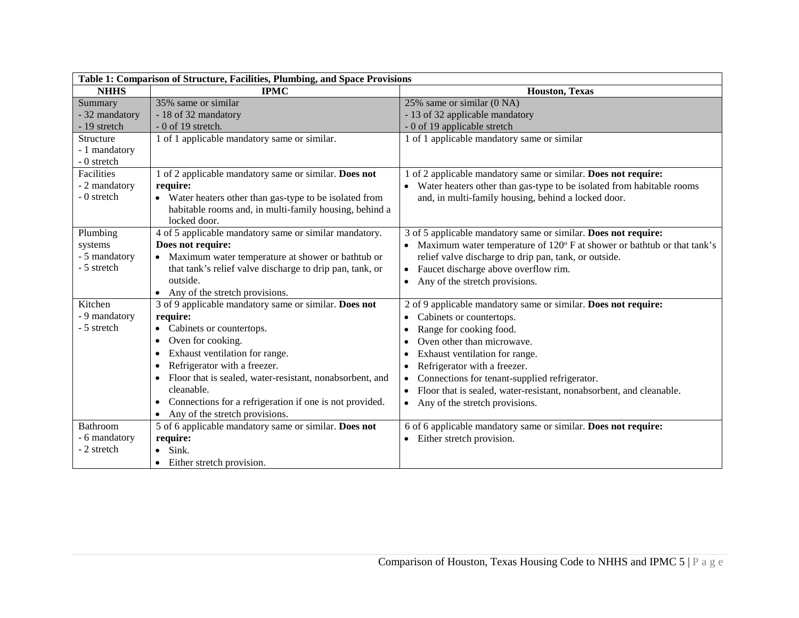| Table 1: Comparison of Structure, Facilities, Plumbing, and Space Provisions |                                                                                                                 |                                                                                  |
|------------------------------------------------------------------------------|-----------------------------------------------------------------------------------------------------------------|----------------------------------------------------------------------------------|
| <b>NHHS</b>                                                                  | <b>IPMC</b>                                                                                                     | <b>Houston</b> , Texas                                                           |
| Summary                                                                      | 35% same or similar                                                                                             | 25% same or similar (0 NA)                                                       |
| - 32 mandatory                                                               | - 18 of 32 mandatory                                                                                            | - 13 of 32 applicable mandatory                                                  |
| - 19 stretch                                                                 | $-0$ of 19 stretch.                                                                                             | - 0 of 19 applicable stretch                                                     |
| Structure                                                                    | 1 of 1 applicable mandatory same or similar.                                                                    | 1 of 1 applicable mandatory same or similar                                      |
| - 1 mandatory                                                                |                                                                                                                 |                                                                                  |
| - 0 stretch                                                                  |                                                                                                                 |                                                                                  |
| <b>Facilities</b>                                                            | 1 of 2 applicable mandatory same or similar. Does not                                                           | of 2 applicable mandatory same or similar. Does not require:                     |
| - 2 mandatory                                                                | require:                                                                                                        | Water heaters other than gas-type to be isolated from habitable rooms            |
| - 0 stretch                                                                  | • Water heaters other than gas-type to be isolated from                                                         | and, in multi-family housing, behind a locked door.                              |
|                                                                              | habitable rooms and, in multi-family housing, behind a                                                          |                                                                                  |
|                                                                              | locked door.                                                                                                    |                                                                                  |
| Plumbing                                                                     | 4 of 5 applicable mandatory same or similar mandatory.                                                          | 3 of 5 applicable mandatory same or similar. Does not require:                   |
| systems                                                                      | Does not require:                                                                                               | Maximum water temperature of 120° F at shower or bathtub or that tank's          |
| - 5 mandatory<br>- 5 stretch                                                 | • Maximum water temperature at shower or bathtub or<br>that tank's relief valve discharge to drip pan, tank, or | relief valve discharge to drip pan, tank, or outside.                            |
|                                                                              | outside.                                                                                                        | Faucet discharge above overflow rim.<br>$\bullet$                                |
|                                                                              | • Any of the stretch provisions.                                                                                | Any of the stretch provisions.<br>$\bullet$                                      |
| Kitchen                                                                      | 3 of 9 applicable mandatory same or similar. Does not                                                           | 2 of 9 applicable mandatory same or similar. Does not require:                   |
| - 9 mandatory                                                                | require:                                                                                                        | Cabinets or countertops.<br>$\bullet$                                            |
| - 5 stretch                                                                  | Cabinets or countertops.                                                                                        | Range for cooking food.<br>$\bullet$                                             |
|                                                                              | Oven for cooking.<br>$\bullet$                                                                                  | Oven other than microwave.<br>٠                                                  |
|                                                                              | Exhaust ventilation for range.                                                                                  | Exhaust ventilation for range.                                                   |
|                                                                              | Refrigerator with a freezer.                                                                                    | Refrigerator with a freezer.<br>٠                                                |
|                                                                              | Floor that is sealed, water-resistant, nonabsorbent, and                                                        | Connections for tenant-supplied refrigerator.<br>$\bullet$                       |
|                                                                              | cleanable.                                                                                                      | Floor that is sealed, water-resistant, nonabsorbent, and cleanable.<br>$\bullet$ |
|                                                                              | Connections for a refrigeration if one is not provided.                                                         | Any of the stretch provisions.<br>$\bullet$                                      |
|                                                                              | Any of the stretch provisions.                                                                                  |                                                                                  |
| Bathroom                                                                     | 5 of 6 applicable mandatory same or similar. Does not                                                           | 6 of 6 applicable mandatory same or similar. Does not require:                   |
| - 6 mandatory                                                                | require:                                                                                                        | Either stretch provision.                                                        |
| - 2 stretch                                                                  | Sink.                                                                                                           |                                                                                  |
|                                                                              | • Either stretch provision.                                                                                     |                                                                                  |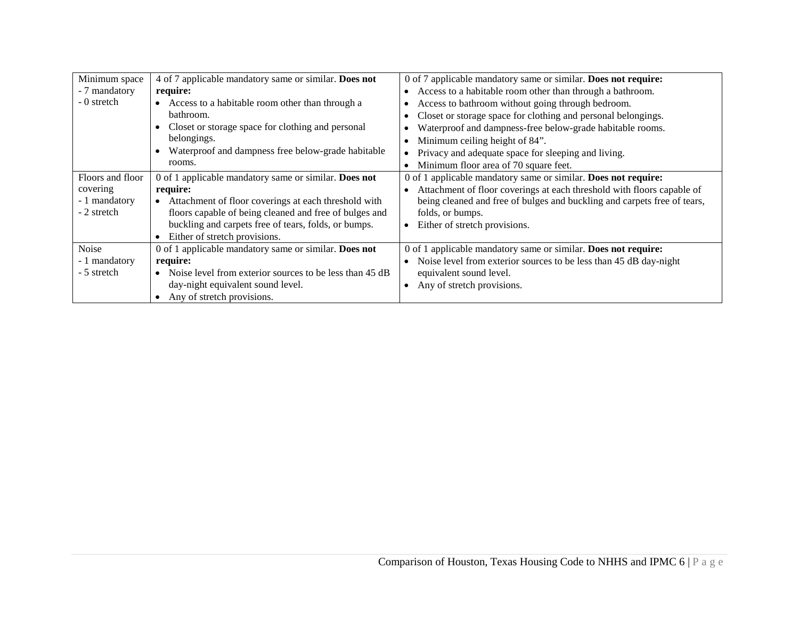| Minimum space    | 4 of 7 applicable mandatory same or similar. Does not          | 0 of 7 applicable mandatory same or similar. Does not require:           |
|------------------|----------------------------------------------------------------|--------------------------------------------------------------------------|
| - 7 mandatory    | require:                                                       | Access to a habitable room other than through a bathroom.                |
| - 0 stretch      | • Access to a habitable room other than through a              | Access to bathroom without going through bedroom.                        |
|                  | bathroom.                                                      | Closet or storage space for clothing and personal belongings.            |
|                  | Closet or storage space for clothing and personal<br>$\bullet$ | Waterproof and dampness-free below-grade habitable rooms.                |
|                  | belongings.                                                    | Minimum ceiling height of 84".                                           |
|                  | Waterproof and dampness free below-grade habitable             | Privacy and adequate space for sleeping and living.                      |
|                  | rooms.                                                         | Minimum floor area of 70 square feet.                                    |
| Floors and floor | 0 of 1 applicable mandatory same or similar. Does not          | 0 of 1 applicable mandatory same or similar. Does not require:           |
| covering         | require:                                                       | Attachment of floor coverings at each threshold with floors capable of   |
| - 1 mandatory    | • Attachment of floor coverings at each threshold with         | being cleaned and free of bulges and buckling and carpets free of tears, |
| - 2 stretch      | floors capable of being cleaned and free of bulges and         | folds, or bumps.                                                         |
|                  | buckling and carpets free of tears, folds, or bumps.           | Either of stretch provisions.<br>$\bullet$                               |
|                  | Either of stretch provisions.                                  |                                                                          |
| Noise            | 0 of 1 applicable mandatory same or similar. Does not          | 0 of 1 applicable mandatory same or similar. Does not require:           |
| - 1 mandatory    | require:                                                       | Noise level from exterior sources to be less than 45 dB day-night        |
| - 5 stretch      | • Noise level from exterior sources to be less than 45 dB      | equivalent sound level.                                                  |
|                  | day-night equivalent sound level.                              | Any of stretch provisions.                                               |
|                  | Any of stretch provisions.                                     |                                                                          |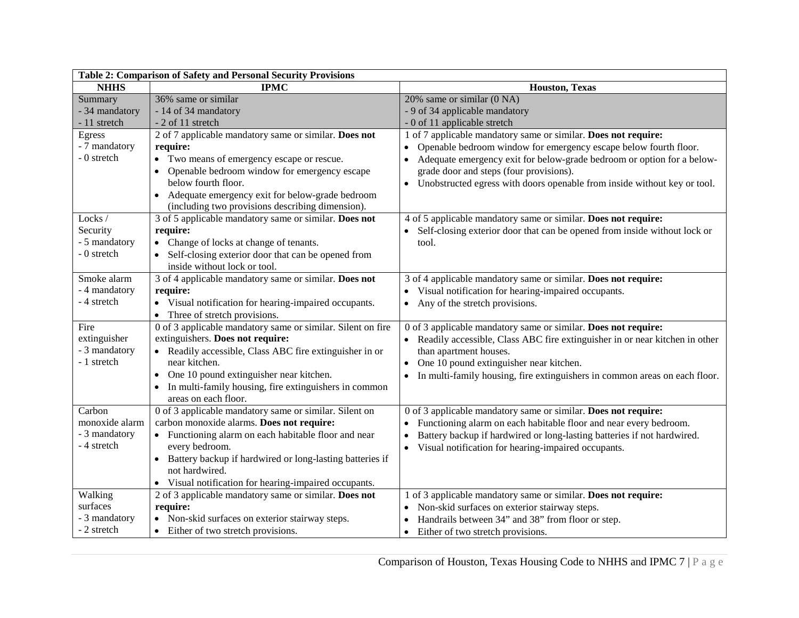| Table 2: Comparison of Safety and Personal Security Provisions |                                                             |                                                                                     |  |
|----------------------------------------------------------------|-------------------------------------------------------------|-------------------------------------------------------------------------------------|--|
| <b>NHHS</b>                                                    | <b>IPMC</b>                                                 | Houston, Texas                                                                      |  |
| Summary                                                        | 36% same or similar                                         | 20% same or similar (0 NA)                                                          |  |
| - 34 mandatory                                                 | - 14 of 34 mandatory                                        | - 9 of 34 applicable mandatory                                                      |  |
| - 11 stretch                                                   | - 2 of 11 stretch                                           | - 0 of 11 applicable stretch                                                        |  |
| Egress                                                         | 2 of 7 applicable mandatory same or similar. Does not       | 1 of 7 applicable mandatory same or similar. Does not require:                      |  |
| - 7 mandatory                                                  | require:                                                    | Openable bedroom window for emergency escape below fourth floor.<br>$\bullet$       |  |
| - 0 stretch                                                    | • Two means of emergency escape or rescue.                  | Adequate emergency exit for below-grade bedroom or option for a below-<br>$\bullet$ |  |
|                                                                | Openable bedroom window for emergency escape                | grade door and steps (four provisions).                                             |  |
|                                                                | below fourth floor.                                         | • Unobstructed egress with doors openable from inside without key or tool.          |  |
|                                                                | Adequate emergency exit for below-grade bedroom             |                                                                                     |  |
|                                                                | (including two provisions describing dimension).            |                                                                                     |  |
| Locks/                                                         | 3 of 5 applicable mandatory same or similar. Does not       | 4 of 5 applicable mandatory same or similar. Does not require:                      |  |
| Security                                                       | require:                                                    | Self-closing exterior door that can be opened from inside without lock or           |  |
| - 5 mandatory                                                  | • Change of locks at change of tenants.                     | tool.                                                                               |  |
| - 0 stretch                                                    | Self-closing exterior door that can be opened from          |                                                                                     |  |
|                                                                | inside without lock or tool.                                |                                                                                     |  |
| Smoke alarm                                                    | 3 of 4 applicable mandatory same or similar. Does not       | 3 of 4 applicable mandatory same or similar. Does not require:                      |  |
| - 4 mandatory                                                  | require:                                                    | • Visual notification for hearing-impaired occupants.                               |  |
| - 4 stretch                                                    | • Visual notification for hearing-impaired occupants.       | Any of the stretch provisions.                                                      |  |
|                                                                | • Three of stretch provisions.                              |                                                                                     |  |
| Fire                                                           | 0 of 3 applicable mandatory same or similar. Silent on fire | 0 of 3 applicable mandatory same or similar. Does not require:                      |  |
| extinguisher                                                   | extinguishers. Does not require:                            | Readily accessible, Class ABC fire extinguisher in or near kitchen in other         |  |
| - 3 mandatory                                                  | • Readily accessible, Class ABC fire extinguisher in or     | than apartment houses.                                                              |  |
| - 1 stretch                                                    | near kitchen.                                               | One 10 pound extinguisher near kitchen.                                             |  |
|                                                                | One 10 pound extinguisher near kitchen.                     | In multi-family housing, fire extinguishers in common areas on each floor.          |  |
|                                                                | In multi-family housing, fire extinguishers in common       |                                                                                     |  |
|                                                                | areas on each floor.                                        |                                                                                     |  |
| Carbon                                                         | 0 of 3 applicable mandatory same or similar. Silent on      | 0 of 3 applicable mandatory same or similar. Does not require:                      |  |
| monoxide alarm                                                 | carbon monoxide alarms. Does not require:                   | Functioning alarm on each habitable floor and near every bedroom.                   |  |
| - 3 mandatory                                                  | • Functioning alarm on each habitable floor and near        | Battery backup if hardwired or long-lasting batteries if not hardwired.             |  |
| - 4 stretch                                                    | every bedroom.                                              | • Visual notification for hearing-impaired occupants.                               |  |
|                                                                | • Battery backup if hardwired or long-lasting batteries if  |                                                                                     |  |
|                                                                | not hardwired.                                              |                                                                                     |  |
|                                                                | Visual notification for hearing-impaired occupants.         |                                                                                     |  |
| Walking                                                        | 2 of 3 applicable mandatory same or similar. Does not       | 1 of 3 applicable mandatory same or similar. Does not require:                      |  |
| surfaces                                                       | require:                                                    | Non-skid surfaces on exterior stairway steps.                                       |  |
| - 3 mandatory                                                  | • Non-skid surfaces on exterior stairway steps.             | Handrails between 34" and 38" from floor or step.                                   |  |
| - 2 stretch                                                    | Either of two stretch provisions.                           | Either of two stretch provisions.<br>$\bullet$                                      |  |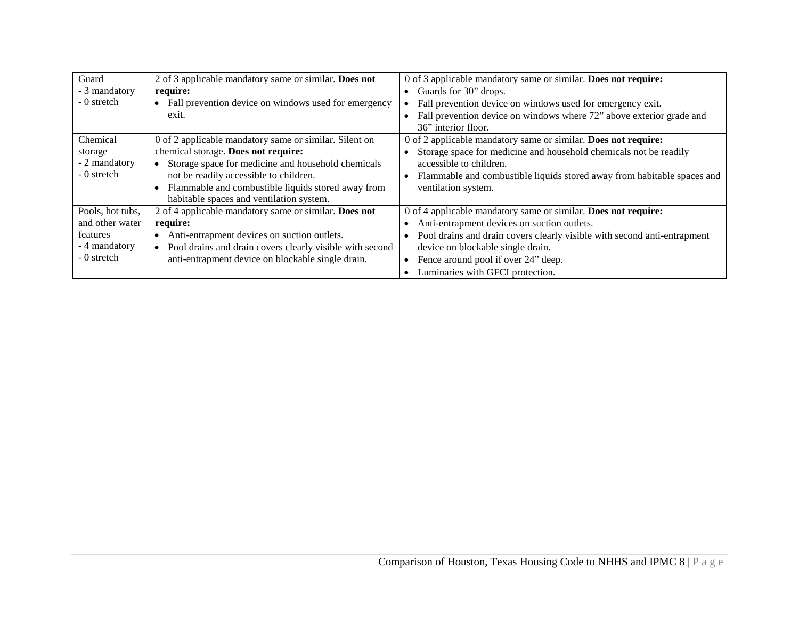| Guard            | 2 of 3 applicable mandatory same or similar. Does not                 | 0 of 3 applicable mandatory same or similar. Does not require:           |
|------------------|-----------------------------------------------------------------------|--------------------------------------------------------------------------|
| - 3 mandatory    | require:                                                              | • Guards for $30^{\circ}$ drops.                                         |
| - 0 stretch      | Fall prevention device on windows used for emergency                  | Fall prevention device on windows used for emergency exit.               |
|                  | exit.                                                                 | Fall prevention device on windows where 72" above exterior grade and     |
|                  |                                                                       | 36" interior floor.                                                      |
| Chemical         | 0 of 2 applicable mandatory same or similar. Silent on                | 0 of 2 applicable mandatory same or similar. Does not require:           |
| storage          | chemical storage. Does not require:                                   | Storage space for medicine and household chemicals not be readily        |
| - 2 mandatory    | Storage space for medicine and household chemicals                    | accessible to children.                                                  |
| - 0 stretch      | not be readily accessible to children.                                | Flammable and combustible liquids stored away from habitable spaces and  |
|                  | Flammable and combustible liquids stored away from                    | ventilation system.                                                      |
|                  | habitable spaces and ventilation system.                              |                                                                          |
| Pools, hot tubs, | 2 of 4 applicable mandatory same or similar. Does not                 | 0 of 4 applicable mandatory same or similar. Does not require:           |
| and other water  | require:                                                              | Anti-entrapment devices on suction outlets.                              |
| features         | Anti-entrapment devices on suction outlets.                           | Pool drains and drain covers clearly visible with second anti-entrapment |
| - 4 mandatory    | Pool drains and drain covers clearly visible with second<br>$\bullet$ | device on blockable single drain.                                        |
| - 0 stretch      | anti-entrapment device on blockable single drain.                     | Fence around pool if over 24" deep.                                      |
|                  |                                                                       | Luminaries with GFCI protection.                                         |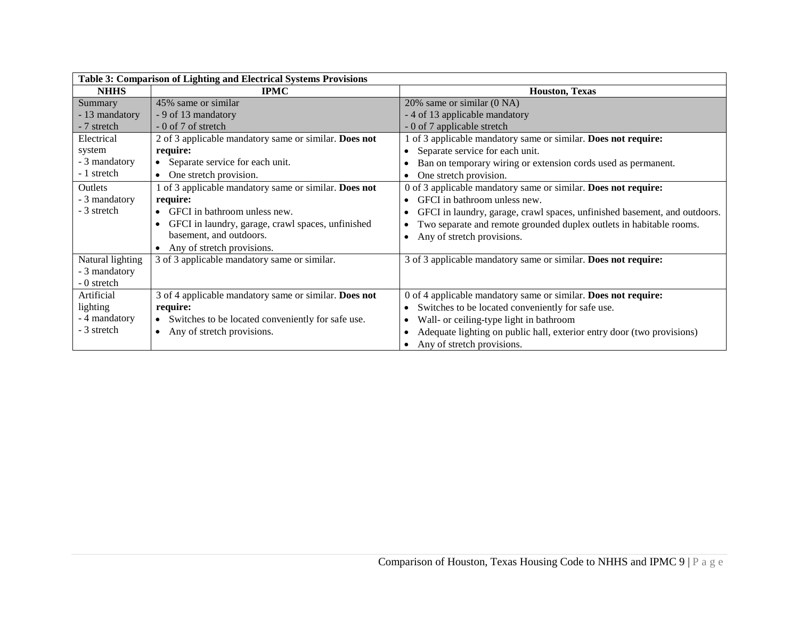| Table 3: Comparison of Lighting and Electrical Systems Provisions |                                                       |                                                                           |
|-------------------------------------------------------------------|-------------------------------------------------------|---------------------------------------------------------------------------|
| <b>NHHS</b>                                                       | <b>IPMC</b>                                           | <b>Houston, Texas</b>                                                     |
| Summary                                                           | 45% same or similar                                   | 20% same or similar (0 NA)                                                |
| - 13 mandatory                                                    | - 9 of 13 mandatory                                   | - 4 of 13 applicable mandatory                                            |
| - 7 stretch                                                       | $-0$ of 7 of stretch                                  | - 0 of 7 applicable stretch                                               |
| Electrical                                                        | 2 of 3 applicable mandatory same or similar. Does not | 1 of 3 applicable mandatory same or similar. Does not require:            |
| system                                                            | require:                                              | Separate service for each unit.                                           |
| - 3 mandatory                                                     | • Separate service for each unit.                     | Ban on temporary wiring or extension cords used as permanent.             |
| - 1 stretch                                                       | • One stretch provision.                              | One stretch provision.                                                    |
| Outlets                                                           | 1 of 3 applicable mandatory same or similar. Does not | 0 of 3 applicable mandatory same or similar. Does not require:            |
| - 3 mandatory                                                     | require:                                              | GFCI in bathroom unless new.<br>$\bullet$                                 |
| - 3 stretch                                                       | $\bullet$ GFCI in bathroom unless new.                | GFCI in laundry, garage, crawl spaces, unfinished basement, and outdoors. |
|                                                                   | GFCI in laundry, garage, crawl spaces, unfinished     | Two separate and remote grounded duplex outlets in habitable rooms.       |
|                                                                   | basement, and outdoors.                               | Any of stretch provisions.<br>$\bullet$                                   |
|                                                                   | • Any of stretch provisions.                          |                                                                           |
| Natural lighting                                                  | 3 of 3 applicable mandatory same or similar.          | 3 of 3 applicable mandatory same or similar. Does not require:            |
| - 3 mandatory                                                     |                                                       |                                                                           |
| - 0 stretch                                                       |                                                       |                                                                           |
| Artificial                                                        | 3 of 4 applicable mandatory same or similar. Does not | 0 of 4 applicable mandatory same or similar. Does not require:            |
| lighting                                                          | require:                                              | Switches to be located conveniently for safe use.<br>$\bullet$            |
| - 4 mandatory                                                     | • Switches to be located conveniently for safe use.   | Wall- or ceiling-type light in bathroom                                   |
| - 3 stretch                                                       | Any of stretch provisions.<br>$\bullet$               | Adequate lighting on public hall, exterior entry door (two provisions)    |
|                                                                   |                                                       | Any of stretch provisions.<br>٠                                           |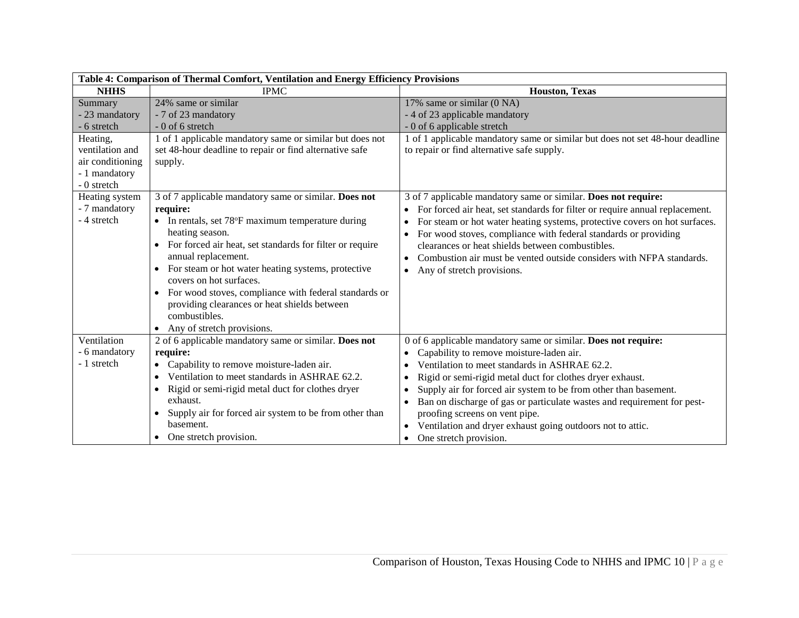| Table 4: Comparison of Thermal Comfort, Ventilation and Energy Efficiency Provisions |                                                                                                                                                                                                                                                                                                                                                                                                                                     |                                                                                                                                                                                                                                                                                                                      |
|--------------------------------------------------------------------------------------|-------------------------------------------------------------------------------------------------------------------------------------------------------------------------------------------------------------------------------------------------------------------------------------------------------------------------------------------------------------------------------------------------------------------------------------|----------------------------------------------------------------------------------------------------------------------------------------------------------------------------------------------------------------------------------------------------------------------------------------------------------------------|
| <b>NHHS</b>                                                                          | <b>IPMC</b>                                                                                                                                                                                                                                                                                                                                                                                                                         | <b>Houston, Texas</b>                                                                                                                                                                                                                                                                                                |
| Summary<br>- 23 mandatory                                                            | 24% same or similar<br>- 7 of 23 mandatory                                                                                                                                                                                                                                                                                                                                                                                          | 17% same or similar (0 NA)<br>- 4 of 23 applicable mandatory                                                                                                                                                                                                                                                         |
| - 6 stretch                                                                          | $-0$ of 6 stretch                                                                                                                                                                                                                                                                                                                                                                                                                   | - 0 of 6 applicable stretch                                                                                                                                                                                                                                                                                          |
| Heating,                                                                             | 1 of 1 applicable mandatory same or similar but does not                                                                                                                                                                                                                                                                                                                                                                            | 1 of 1 applicable mandatory same or similar but does not set 48-hour deadline                                                                                                                                                                                                                                        |
| ventilation and                                                                      | set 48-hour deadline to repair or find alternative safe                                                                                                                                                                                                                                                                                                                                                                             | to repair or find alternative safe supply.                                                                                                                                                                                                                                                                           |
| air conditioning                                                                     | supply.                                                                                                                                                                                                                                                                                                                                                                                                                             |                                                                                                                                                                                                                                                                                                                      |
| - 1 mandatory<br>- 0 stretch                                                         |                                                                                                                                                                                                                                                                                                                                                                                                                                     |                                                                                                                                                                                                                                                                                                                      |
| Heating system                                                                       | 3 of 7 applicable mandatory same or similar. Does not                                                                                                                                                                                                                                                                                                                                                                               | 3 of 7 applicable mandatory same or similar. Does not require:                                                                                                                                                                                                                                                       |
| - 7 mandatory                                                                        | require:                                                                                                                                                                                                                                                                                                                                                                                                                            | For forced air heat, set standards for filter or require annual replacement.                                                                                                                                                                                                                                         |
| - 4 stretch                                                                          | • In rentals, set $78^{\circ}F$ maximum temperature during<br>heating season.<br>For forced air heat, set standards for filter or require<br>annual replacement.<br>For steam or hot water heating systems, protective<br>$\bullet$<br>covers on hot surfaces.<br>For wood stoves, compliance with federal standards or<br>$\bullet$<br>providing clearances or heat shields between<br>combustibles.<br>Any of stretch provisions. | For steam or hot water heating systems, protective covers on hot surfaces.<br>For wood stoves, compliance with federal standards or providing<br>clearances or heat shields between combustibles.<br>Combustion air must be vented outside considers with NFPA standards.<br>Any of stretch provisions.<br>$\bullet$ |
| Ventilation                                                                          | 2 of 6 applicable mandatory same or similar. Does not                                                                                                                                                                                                                                                                                                                                                                               | 0 of 6 applicable mandatory same or similar. Does not require:                                                                                                                                                                                                                                                       |
| - 6 mandatory                                                                        | require:                                                                                                                                                                                                                                                                                                                                                                                                                            | Capability to remove moisture-laden air.                                                                                                                                                                                                                                                                             |
| - 1 stretch                                                                          | Capability to remove moisture-laden air.<br>$\bullet$                                                                                                                                                                                                                                                                                                                                                                               | Ventilation to meet standards in ASHRAE 62.2.                                                                                                                                                                                                                                                                        |
|                                                                                      | Ventilation to meet standards in ASHRAE 62.2.                                                                                                                                                                                                                                                                                                                                                                                       | Rigid or semi-rigid metal duct for clothes dryer exhaust.                                                                                                                                                                                                                                                            |
|                                                                                      | Rigid or semi-rigid metal duct for clothes dryer<br>$\bullet$                                                                                                                                                                                                                                                                                                                                                                       | Supply air for forced air system to be from other than basement.                                                                                                                                                                                                                                                     |
|                                                                                      | exhaust.                                                                                                                                                                                                                                                                                                                                                                                                                            | Ban on discharge of gas or particulate wastes and requirement for pest-                                                                                                                                                                                                                                              |
|                                                                                      | Supply air for forced air system to be from other than<br>$\bullet$                                                                                                                                                                                                                                                                                                                                                                 | proofing screens on vent pipe.                                                                                                                                                                                                                                                                                       |
|                                                                                      | basement.                                                                                                                                                                                                                                                                                                                                                                                                                           | Ventilation and dryer exhaust going outdoors not to attic.                                                                                                                                                                                                                                                           |
|                                                                                      | One stretch provision.                                                                                                                                                                                                                                                                                                                                                                                                              | One stretch provision.                                                                                                                                                                                                                                                                                               |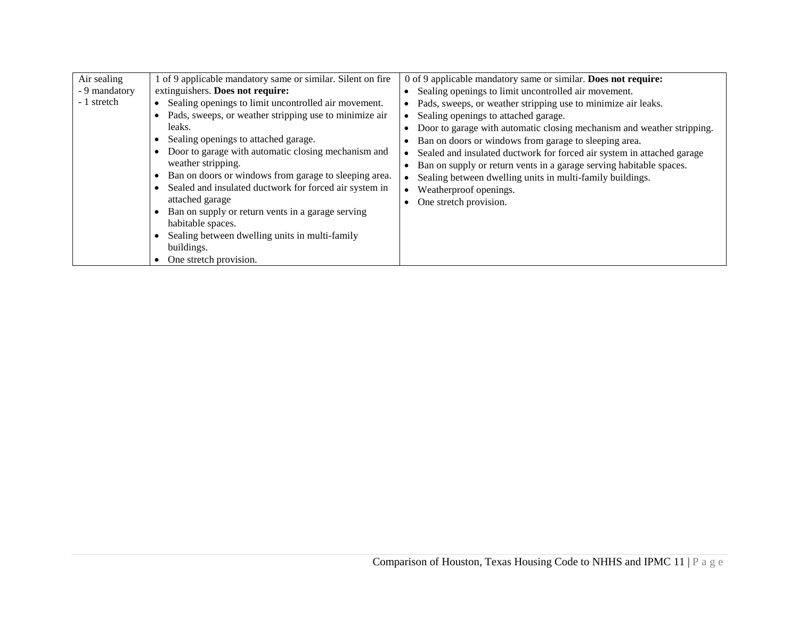| Air sealing   | 1 of 9 applicable mandatory same or similar. Silent on fire                                                                                                                                                                                                                                                                                                                                                                                                                                                                                                                                    | 0 of 9 applicable mandatory same or similar. Does not require:                                                                                                                                                                                                                                                                                                                                                                                                                                             |
|---------------|------------------------------------------------------------------------------------------------------------------------------------------------------------------------------------------------------------------------------------------------------------------------------------------------------------------------------------------------------------------------------------------------------------------------------------------------------------------------------------------------------------------------------------------------------------------------------------------------|------------------------------------------------------------------------------------------------------------------------------------------------------------------------------------------------------------------------------------------------------------------------------------------------------------------------------------------------------------------------------------------------------------------------------------------------------------------------------------------------------------|
| - 9 mandatory | extinguishers. Does not require:                                                                                                                                                                                                                                                                                                                                                                                                                                                                                                                                                               | Sealing openings to limit uncontrolled air movement.                                                                                                                                                                                                                                                                                                                                                                                                                                                       |
| - 1 stretch   | Sealing openings to limit uncontrolled air movement.<br>$\bullet$<br>Pads, sweeps, or weather stripping use to minimize air<br>leaks.<br>Sealing openings to attached garage.<br>Door to garage with automatic closing mechanism and<br>weather stripping.<br>Ban on doors or windows from garage to sleeping area.<br>$\bullet$<br>Sealed and insulated ductwork for forced air system in<br>$\bullet$<br>attached garage<br>Ban on supply or return vents in a garage serving<br>habitable spaces.<br>Sealing between dwelling units in multi-family<br>buildings.<br>One stretch provision. | Pads, sweeps, or weather stripping use to minimize air leaks.<br>Sealing openings to attached garage.<br>Door to garage with automatic closing mechanism and weather stripping.<br>Ban on doors or windows from garage to sleeping area.<br>Sealed and insulated ductwork for forced air system in attached garage<br>Ban on supply or return vents in a garage serving habitable spaces.<br>Sealing between dwelling units in multi-family buildings.<br>Weatherproof openings.<br>One stretch provision. |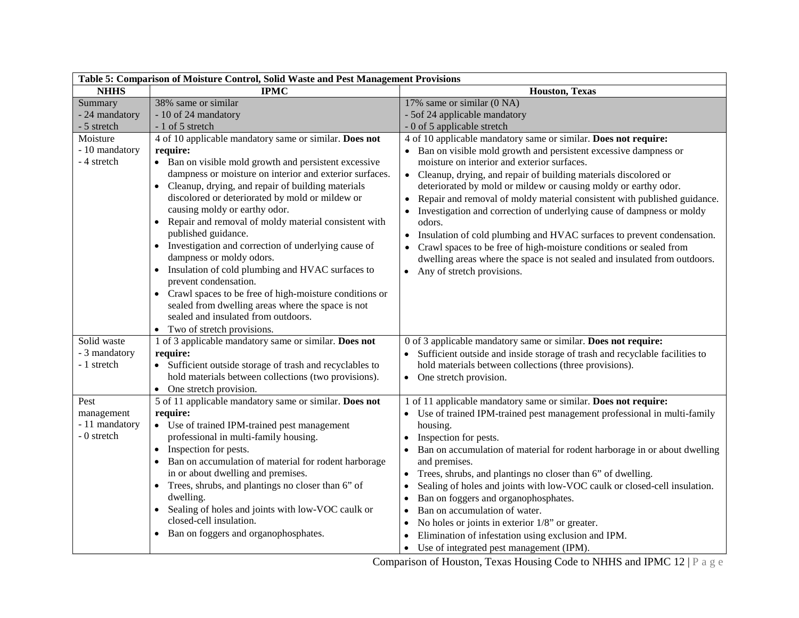| Table 5: Comparison of Moisture Control, Solid Waste and Pest Management Provisions |                                                                                                                                                                                                                                                                                                                                                                                                                                                                                                                                                                                                                                                                                                                                                                                         |                                                                                                                                                                                                                                                                                                                                                                                                                                                                                                                                                                                                                                                                                                                                                                                            |  |
|-------------------------------------------------------------------------------------|-----------------------------------------------------------------------------------------------------------------------------------------------------------------------------------------------------------------------------------------------------------------------------------------------------------------------------------------------------------------------------------------------------------------------------------------------------------------------------------------------------------------------------------------------------------------------------------------------------------------------------------------------------------------------------------------------------------------------------------------------------------------------------------------|--------------------------------------------------------------------------------------------------------------------------------------------------------------------------------------------------------------------------------------------------------------------------------------------------------------------------------------------------------------------------------------------------------------------------------------------------------------------------------------------------------------------------------------------------------------------------------------------------------------------------------------------------------------------------------------------------------------------------------------------------------------------------------------------|--|
| <b>NHHS</b>                                                                         | <b>IPMC</b>                                                                                                                                                                                                                                                                                                                                                                                                                                                                                                                                                                                                                                                                                                                                                                             | <b>Houston, Texas</b>                                                                                                                                                                                                                                                                                                                                                                                                                                                                                                                                                                                                                                                                                                                                                                      |  |
| Summary                                                                             | 38% same or similar                                                                                                                                                                                                                                                                                                                                                                                                                                                                                                                                                                                                                                                                                                                                                                     | 17% same or similar (0 NA)                                                                                                                                                                                                                                                                                                                                                                                                                                                                                                                                                                                                                                                                                                                                                                 |  |
| - 24 mandatory                                                                      | - 10 of 24 mandatory                                                                                                                                                                                                                                                                                                                                                                                                                                                                                                                                                                                                                                                                                                                                                                    | - 5of 24 applicable mandatory                                                                                                                                                                                                                                                                                                                                                                                                                                                                                                                                                                                                                                                                                                                                                              |  |
| - 5 stretch                                                                         | - 1 of 5 stretch                                                                                                                                                                                                                                                                                                                                                                                                                                                                                                                                                                                                                                                                                                                                                                        | - 0 of 5 applicable stretch                                                                                                                                                                                                                                                                                                                                                                                                                                                                                                                                                                                                                                                                                                                                                                |  |
| Moisture<br>- 10 mandatory<br>- 4 stretch                                           | 4 of 10 applicable mandatory same or similar. Does not<br>require:<br>• Ban on visible mold growth and persistent excessive<br>dampness or moisture on interior and exterior surfaces.<br>Cleanup, drying, and repair of building materials<br>$\bullet$<br>discolored or deteriorated by mold or mildew or<br>causing moldy or earthy odor.<br>Repair and removal of moldy material consistent with<br>published guidance.<br>• Investigation and correction of underlying cause of<br>dampness or moldy odors.<br>• Insulation of cold plumbing and HVAC surfaces to<br>prevent condensation.<br>• Crawl spaces to be free of high-moisture conditions or<br>sealed from dwelling areas where the space is not<br>sealed and insulated from outdoors.<br>• Two of stretch provisions. | 4 of 10 applicable mandatory same or similar. Does not require:<br>• Ban on visible mold growth and persistent excessive dampness or<br>moisture on interior and exterior surfaces.<br>Cleanup, drying, and repair of building materials discolored or<br>$\bullet$<br>deteriorated by mold or mildew or causing moldy or earthy odor.<br>Repair and removal of moldy material consistent with published guidance.<br>$\bullet$<br>Investigation and correction of underlying cause of dampness or moldy<br>odors.<br>Insulation of cold plumbing and HVAC surfaces to prevent condensation.<br>$\bullet$<br>Crawl spaces to be free of high-moisture conditions or sealed from<br>dwelling areas where the space is not sealed and insulated from outdoors.<br>Any of stretch provisions. |  |
| Solid waste<br>- 3 mandatory<br>- 1 stretch                                         | 1 of 3 applicable mandatory same or similar. Does not<br>require:<br>• Sufficient outside storage of trash and recyclables to<br>hold materials between collections (two provisions).<br>One stretch provision.<br>$\bullet$                                                                                                                                                                                                                                                                                                                                                                                                                                                                                                                                                            | 0 of 3 applicable mandatory same or similar. Does not require:<br>Sufficient outside and inside storage of trash and recyclable facilities to<br>hold materials between collections (three provisions).<br>• One stretch provision.                                                                                                                                                                                                                                                                                                                                                                                                                                                                                                                                                        |  |
| Pest<br>management<br>- 11 mandatory<br>- 0 stretch                                 | 5 of 11 applicable mandatory same or similar. Does not<br>require:<br>• Use of trained IPM-trained pest management<br>professional in multi-family housing.<br>Inspection for pests.<br>$\bullet$<br>Ban on accumulation of material for rodent harborage<br>in or about dwelling and premises.<br>Trees, shrubs, and plantings no closer than 6" of<br>$\bullet$<br>dwelling.<br>Sealing of holes and joints with low-VOC caulk or<br>$\bullet$<br>closed-cell insulation.<br>Ban on foggers and organophosphates.<br>$\bullet$                                                                                                                                                                                                                                                        | 1 of 11 applicable mandatory same or similar. Does not require:<br>Use of trained IPM-trained pest management professional in multi-family<br>housing.<br>Inspection for pests.<br>Ban on accumulation of material for rodent harborage in or about dwelling<br>$\bullet$<br>and premises.<br>Trees, shrubs, and plantings no closer than 6" of dwelling.<br>$\bullet$<br>Sealing of holes and joints with low-VOC caulk or closed-cell insulation.<br>Ban on foggers and organophosphates.<br>Ban on accumulation of water.<br>$\bullet$<br>No holes or joints in exterior 1/8" or greater.<br>Elimination of infestation using exclusion and IPM.<br>Use of integrated pest management (IPM).<br>$\bullet$                                                                               |  |

Comparison of Houston, Texas Housing Code to NHHS and IPMC 12 | P a g e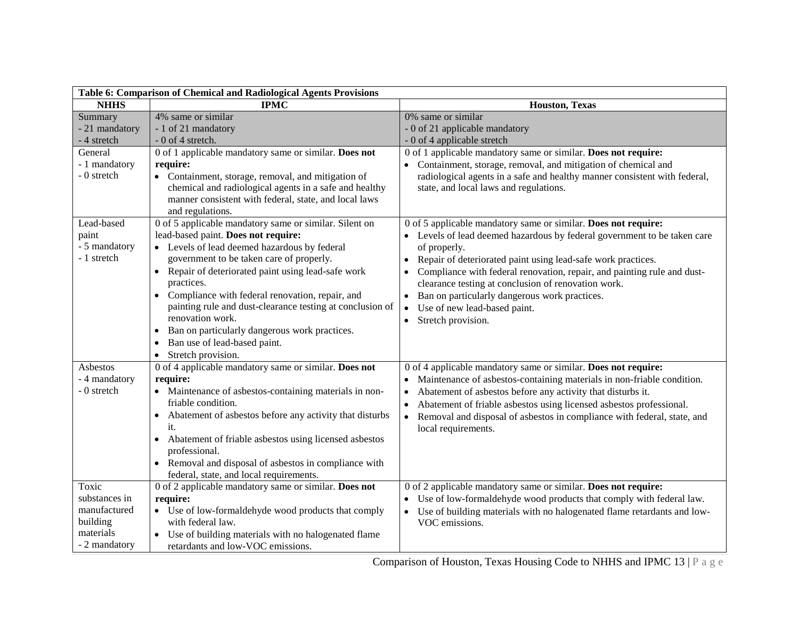| Table 6: Comparison of Chemical and Radiological Agents Provisions               |                                                                                                                                                                                                                                                                                                                                                                                                                                                                                                                                                                          |                                                                                                                                                                                                                                                                                                                                                                                                                                                                                                          |  |
|----------------------------------------------------------------------------------|--------------------------------------------------------------------------------------------------------------------------------------------------------------------------------------------------------------------------------------------------------------------------------------------------------------------------------------------------------------------------------------------------------------------------------------------------------------------------------------------------------------------------------------------------------------------------|----------------------------------------------------------------------------------------------------------------------------------------------------------------------------------------------------------------------------------------------------------------------------------------------------------------------------------------------------------------------------------------------------------------------------------------------------------------------------------------------------------|--|
| <b>NHHS</b>                                                                      | <b>IPMC</b>                                                                                                                                                                                                                                                                                                                                                                                                                                                                                                                                                              | <b>Houston, Texas</b>                                                                                                                                                                                                                                                                                                                                                                                                                                                                                    |  |
| Summary<br>- 21 mandatory<br>- 4 stretch                                         | 4% same or similar<br>- 1 of 21 mandatory<br>$-0$ of 4 stretch.                                                                                                                                                                                                                                                                                                                                                                                                                                                                                                          | 0% same or similar<br>- 0 of 21 applicable mandatory<br>- 0 of 4 applicable stretch                                                                                                                                                                                                                                                                                                                                                                                                                      |  |
| General<br>- 1 mandatory<br>- 0 stretch                                          | 0 of 1 applicable mandatory same or similar. Does not<br>require:<br>• Containment, storage, removal, and mitigation of<br>chemical and radiological agents in a safe and healthy<br>manner consistent with federal, state, and local laws<br>and regulations.                                                                                                                                                                                                                                                                                                           | 0 of 1 applicable mandatory same or similar. Does not require:<br>Containment, storage, removal, and mitigation of chemical and<br>$\bullet$<br>radiological agents in a safe and healthy manner consistent with federal,<br>state, and local laws and regulations.                                                                                                                                                                                                                                      |  |
| Lead-based<br>paint<br>- 5 mandatory<br>- 1 stretch                              | 0 of 5 applicable mandatory same or similar. Silent on<br>lead-based paint. Does not require:<br>• Levels of lead deemed hazardous by federal<br>government to be taken care of properly.<br>Repair of deteriorated paint using lead-safe work<br>$\bullet$<br>practices.<br>Compliance with federal renovation, repair, and<br>$\bullet$<br>painting rule and dust-clearance testing at conclusion of<br>renovation work.<br>Ban on particularly dangerous work practices.<br>$\bullet$<br>Ban use of lead-based paint.<br>$\bullet$<br>Stretch provision.<br>$\bullet$ | 0 of 5 applicable mandatory same or similar. Does not require:<br>Levels of lead deemed hazardous by federal government to be taken care<br>of properly.<br>Repair of deteriorated paint using lead-safe work practices.<br>Compliance with federal renovation, repair, and painting rule and dust-<br>clearance testing at conclusion of renovation work.<br>Ban on particularly dangerous work practices.<br>$\bullet$<br>Use of new lead-based paint.<br>$\bullet$<br>Stretch provision.<br>$\bullet$ |  |
| Asbestos<br>- 4 mandatory<br>- 0 stretch                                         | 0 of 4 applicable mandatory same or similar. Does not<br>require:<br>Maintenance of asbestos-containing materials in non-<br>friable condition.<br>Abatement of asbestos before any activity that disturbs<br>$\bullet$<br>it.<br>Abatement of friable asbestos using licensed asbestos<br>$\bullet$<br>professional.<br>• Removal and disposal of asbestos in compliance with<br>federal, state, and local requirements.                                                                                                                                                | 0 of 4 applicable mandatory same or similar. Does not require:<br>Maintenance of asbestos-containing materials in non-friable condition.<br>Abatement of asbestos before any activity that disturbs it.<br>Abatement of friable asbestos using licensed asbestos professional.<br>Removal and disposal of asbestos in compliance with federal, state, and<br>local requirements.                                                                                                                         |  |
| Toxic<br>substances in<br>manufactured<br>building<br>materials<br>- 2 mandatory | 0 of 2 applicable mandatory same or similar. Does not<br>require:<br>• Use of low-formaldehyde wood products that comply<br>with federal law.<br>Use of building materials with no halogenated flame<br>retardants and low-VOC emissions.                                                                                                                                                                                                                                                                                                                                | 0 of 2 applicable mandatory same or similar. Does not require:<br>Use of low-formaldehyde wood products that comply with federal law.<br>$\bullet$<br>• Use of building materials with no halogenated flame retardants and low-<br>VOC emissions.                                                                                                                                                                                                                                                        |  |

Comparison of Houston, Texas Housing Code to NHHS and IPMC 13 | P a g e